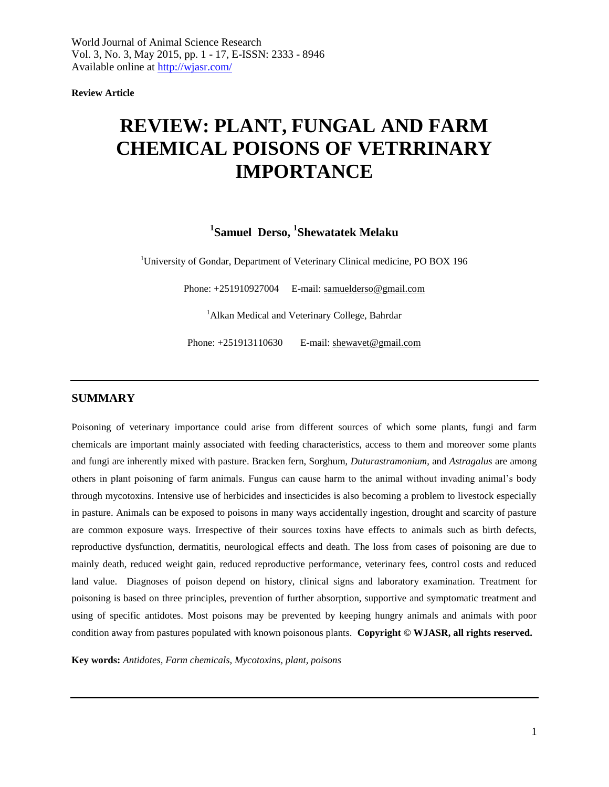**Review Article**

# **REVIEW: PLANT, FUNGAL AND FARM CHEMICAL POISONS OF VETRRINARY IMPORTANCE**

# <sup>1</sup> Samuel Derso, <sup>1</sup> Shewatatek Melaku

<sup>1</sup>University of Gondar, Department of Veterinary Clinical medicine, PO BOX 196

Phone: +251910927004 E-mail: [samuelderso@gmail.com](mailto:samuelderso@gmail.com)

<sup>1</sup> Alkan Medical and Veterinary College, Bahrdar

Phone: +251913110630 E-mail: shewavet@gmail.com

### **SUMMARY**

Poisoning of veterinary importance could arise from different sources of which some plants, fungi and farm chemicals are important mainly associated with feeding characteristics, access to them and moreover some plants and fungi are inherently mixed with pasture. Bracken fern, Sorghum, *Duturastramonium*, and *Astragalus* are among others in plant poisoning of farm animals. Fungus can cause harm to the animal without invading animal's body through mycotoxins. Intensive use of herbicides and insecticides is also becoming a problem to livestock especially in pasture. Animals can be exposed to poisons in many ways accidentally ingestion, drought and scarcity of pasture are common exposure ways. Irrespective of their sources toxins have effects to animals such as birth defects, reproductive dysfunction, dermatitis, neurological effects and death. The loss from cases of poisoning are due to mainly death, reduced weight gain, reduced reproductive performance, veterinary fees, control costs and reduced land value. Diagnoses of poison depend on history, clinical signs and laboratory examination. Treatment for poisoning is based on three principles, prevention of further absorption, supportive and symptomatic treatment and using of specific antidotes. Most poisons may be prevented by keeping hungry animals and animals with poor condition away from pastures populated with known poisonous plants. **Copyright © WJASR, all rights reserved.**

**Key words:** *Antidotes, Farm chemicals, Mycotoxins, plant, poisons*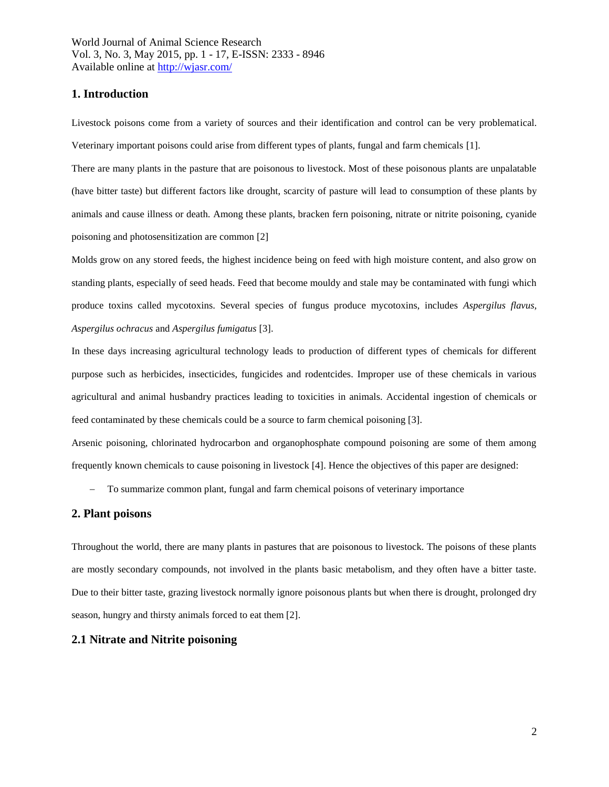### **1. Introduction**

Livestock poisons come from a variety of sources and their identification and control can be very problematical. Veterinary important poisons could arise from different types of plants, fungal and farm chemicals [1].

There are many plants in the pasture that are poisonous to livestock. Most of these poisonous plants are unpalatable (have bitter taste) but different factors like drought, scarcity of pasture will lead to consumption of these plants by animals and cause illness or death. Among these plants, bracken fern poisoning, nitrate or nitrite poisoning, cyanide poisoning and photosensitization are common [2]

Molds grow on any stored feeds, the highest incidence being on feed with high moisture content, and also grow on standing plants, especially of seed heads. Feed that become mouldy and stale may be contaminated with fungi which produce toxins called mycotoxins. Several species of fungus produce mycotoxins, includes *Aspergilus flavus, Aspergilus ochracus* and *Aspergilus fumigatus* [3].

In these days increasing agricultural technology leads to production of different types of chemicals for different purpose such as herbicides, insecticides, fungicides and rodentcides. Improper use of these chemicals in various agricultural and animal husbandry practices leading to toxicities in animals. Accidental ingestion of chemicals or feed contaminated by these chemicals could be a source to farm chemical poisoning [3].

Arsenic poisoning, chlorinated hydrocarbon and organophosphate compound poisoning are some of them among frequently known chemicals to cause poisoning in livestock [4]. Hence the objectives of this paper are designed:

To summarize common plant, fungal and farm chemical poisons of veterinary importance

### **2. Plant poisons**

Throughout the world, there are many plants in pastures that are poisonous to livestock. The poisons of these plants are mostly secondary compounds, not involved in the plants basic metabolism, and they often have a bitter taste. Due to their bitter taste, grazing livestock normally ignore poisonous plants but when there is drought, prolonged dry season, hungry and thirsty animals forced to eat them [2].

### **2.1 Nitrate and Nitrite poisoning**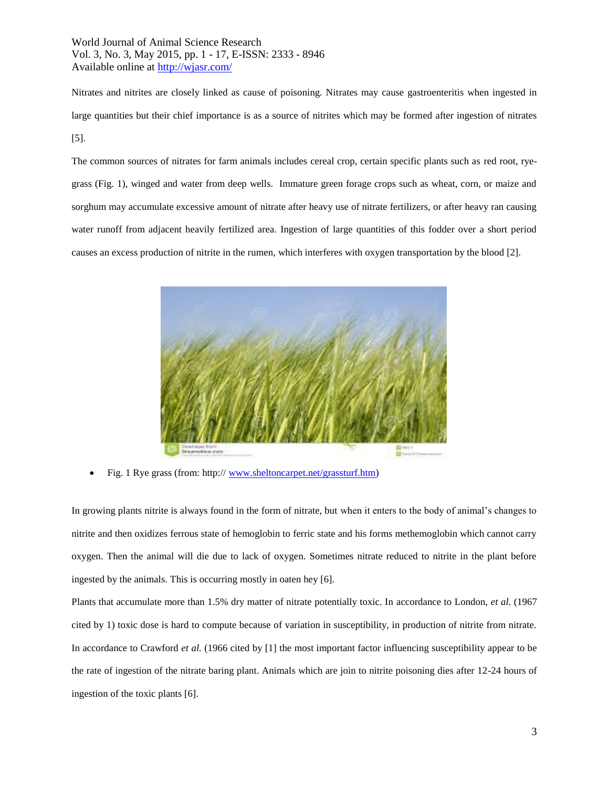Nitrates and nitrites are closely linked as cause of poisoning. Nitrates may cause gastroenteritis when ingested in large quantities but their chief importance is as a source of nitrites which may be formed after ingestion of nitrates [5].

The common sources of nitrates for farm animals includes cereal crop, certain specific plants such as red root, ryegrass (Fig. 1), winged and water from deep wells. Immature green forage crops such as wheat, corn, or maize and sorghum may accumulate excessive amount of nitrate after heavy use of nitrate fertilizers, or after heavy ran causing water runoff from adjacent heavily fertilized area. Ingestion of large quantities of this fodder over a short period causes an excess production of nitrite in the rumen, which interferes with oxygen transportation by the blood [2].



Fig. 1 Rye grass (from: http:// [www.sheltoncarpet.net/grassturf.htm\)](http://www.sheltoncarpet.net/grassturf.htm)

In growing plants nitrite is always found in the form of nitrate, but when it enters to the body of animal's changes to nitrite and then oxidizes ferrous state of hemoglobin to ferric state and his forms methemoglobin which cannot carry oxygen. Then the animal will die due to lack of oxygen. Sometimes nitrate reduced to nitrite in the plant before ingested by the animals. This is occurring mostly in oaten hey [6].

Plants that accumulate more than 1.5% dry matter of nitrate potentially toxic. In accordance to London, *et al.* (1967 cited by 1) toxic dose is hard to compute because of variation in susceptibility, in production of nitrite from nitrate. In accordance to Crawford *et al.* (1966 cited by [1] the most important factor influencing susceptibility appear to be the rate of ingestion of the nitrate baring plant. Animals which are join to nitrite poisoning dies after 12-24 hours of ingestion of the toxic plants [6].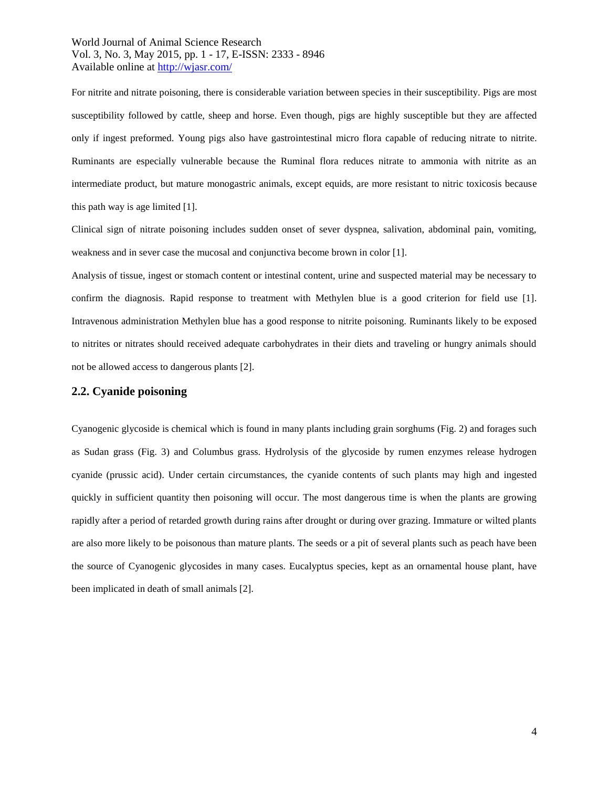For nitrite and nitrate poisoning, there is considerable variation between species in their susceptibility. Pigs are most susceptibility followed by cattle, sheep and horse. Even though, pigs are highly susceptible but they are affected only if ingest preformed. Young pigs also have gastrointestinal micro flora capable of reducing nitrate to nitrite. Ruminants are especially vulnerable because the Ruminal flora reduces nitrate to ammonia with nitrite as an intermediate product, but mature monogastric animals, except equids, are more resistant to nitric toxicosis because this path way is age limited [1].

Clinical sign of nitrate poisoning includes sudden onset of sever dyspnea, salivation, abdominal pain, vomiting, weakness and in sever case the mucosal and conjunctiva become brown in color [1].

Analysis of tissue, ingest or stomach content or intestinal content, urine and suspected material may be necessary to confirm the diagnosis. Rapid response to treatment with Methylen blue is a good criterion for field use [1]. Intravenous administration Methylen blue has a good response to nitrite poisoning. Ruminants likely to be exposed to nitrites or nitrates should received adequate carbohydrates in their diets and traveling or hungry animals should not be allowed access to dangerous plants [2].

#### **2.2. Cyanide poisoning**

Cyanogenic glycoside is chemical which is found in many plants including grain sorghums (Fig. 2) and forages such as Sudan grass (Fig. 3) and Columbus grass. Hydrolysis of the glycoside by rumen enzymes release hydrogen cyanide (prussic acid). Under certain circumstances, the cyanide contents of such plants may high and ingested quickly in sufficient quantity then poisoning will occur. The most dangerous time is when the plants are growing rapidly after a period of retarded growth during rains after drought or during over grazing. Immature or wilted plants are also more likely to be poisonous than mature plants. The seeds or a pit of several plants such as peach have been the source of Cyanogenic glycosides in many cases. Eucalyptus species, kept as an ornamental house plant, have been implicated in death of small animals [2].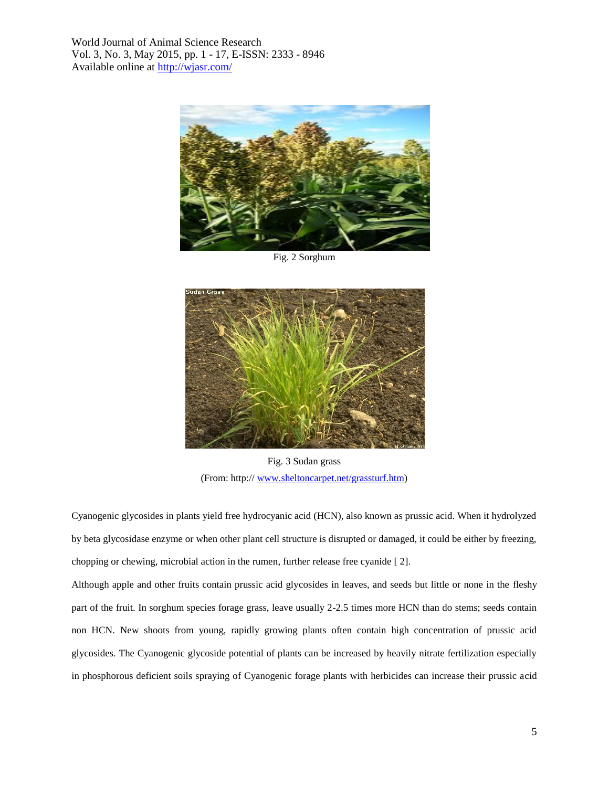

Fig. 2 Sorghum



Fig. 3 Sudan grass (From: http:// [www.sheltoncarpet.net/grassturf.htm\)](http://www.sheltoncarpet.net/grassturf.htm)

Cyanogenic glycosides in plants yield free hydrocyanic acid (HCN), also known as prussic acid. When it hydrolyzed by beta glycosidase enzyme or when other plant cell structure is disrupted or damaged, it could be either by freezing, chopping or chewing, microbial action in the rumen, further release free cyanide [ 2].

Although apple and other fruits contain prussic acid glycosides in leaves, and seeds but little or none in the fleshy part of the fruit. In sorghum species forage grass, leave usually 2-2.5 times more HCN than do stems; seeds contain non HCN. New shoots from young, rapidly growing plants often contain high concentration of prussic acid glycosides. The Cyanogenic glycoside potential of plants can be increased by heavily nitrate fertilization especially in phosphorous deficient soils spraying of Cyanogenic forage plants with herbicides can increase their prussic acid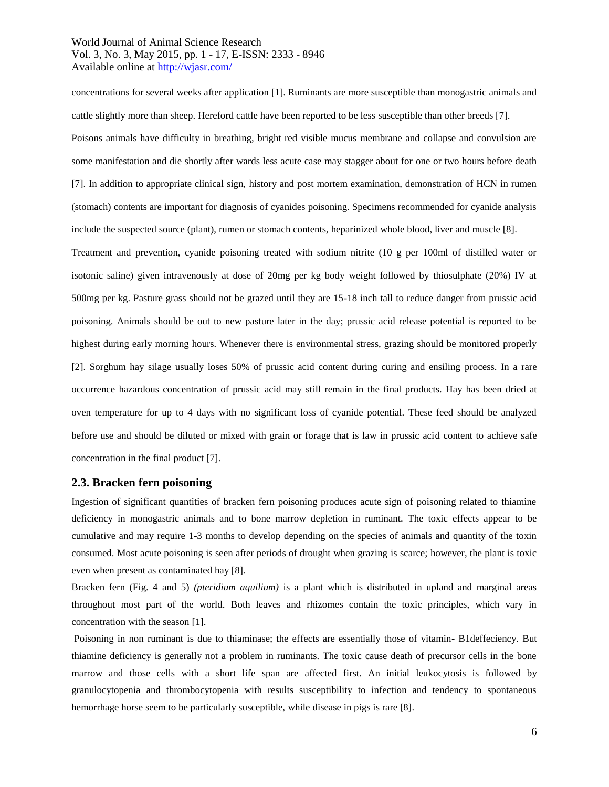concentrations for several weeks after application [1]. Ruminants are more susceptible than monogastric animals and cattle slightly more than sheep. Hereford cattle have been reported to be less susceptible than other breeds [7].

Poisons animals have difficulty in breathing, bright red visible mucus membrane and collapse and convulsion are some manifestation and die shortly after wards less acute case may stagger about for one or two hours before death [7]. In addition to appropriate clinical sign, history and post mortem examination, demonstration of HCN in rumen (stomach) contents are important for diagnosis of cyanides poisoning. Specimens recommended for cyanide analysis include the suspected source (plant), rumen or stomach contents, heparinized whole blood, liver and muscle [8].

Treatment and prevention, cyanide poisoning treated with sodium nitrite (10 g per 100ml of distilled water or isotonic saline) given intravenously at dose of 20mg per kg body weight followed by thiosulphate (20%) IV at 500mg per kg. Pasture grass should not be grazed until they are 15-18 inch tall to reduce danger from prussic acid poisoning. Animals should be out to new pasture later in the day; prussic acid release potential is reported to be highest during early morning hours. Whenever there is environmental stress, grazing should be monitored properly [2]. Sorghum hay silage usually loses 50% of prussic acid content during curing and ensiling process. In a rare occurrence hazardous concentration of prussic acid may still remain in the final products. Hay has been dried at oven temperature for up to 4 days with no significant loss of cyanide potential. These feed should be analyzed before use and should be diluted or mixed with grain or forage that is law in prussic acid content to achieve safe concentration in the final product [7].

#### **2.3. Bracken fern poisoning**

Ingestion of significant quantities of bracken fern poisoning produces acute sign of poisoning related to thiamine deficiency in monogastric animals and to bone marrow depletion in ruminant. The toxic effects appear to be cumulative and may require 1-3 months to develop depending on the species of animals and quantity of the toxin consumed. Most acute poisoning is seen after periods of drought when grazing is scarce; however, the plant is toxic even when present as contaminated hay [8].

Bracken fern (Fig. 4 and 5) *(pteridium aquilium)* is a plant which is distributed in upland and marginal areas throughout most part of the world. Both leaves and rhizomes contain the toxic principles, which vary in concentration with the season [1].

Poisoning in non ruminant is due to thiaminase; the effects are essentially those of vitamin- B1deffeciency. But thiamine deficiency is generally not a problem in ruminants. The toxic cause death of precursor cells in the bone marrow and those cells with a short life span are affected first. An initial leukocytosis is followed by granulocytopenia and thrombocytopenia with results susceptibility to infection and tendency to spontaneous hemorrhage horse seem to be particularly susceptible, while disease in pigs is rare [8].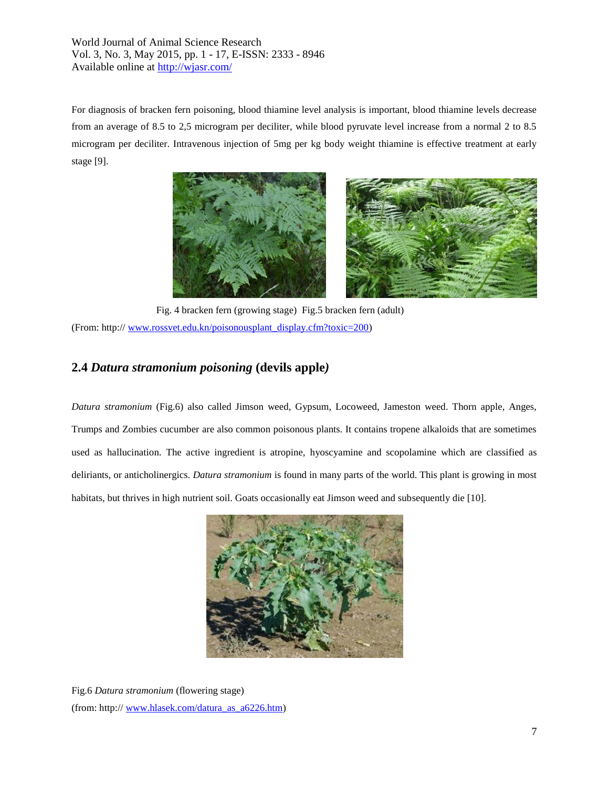For diagnosis of bracken fern poisoning, blood thiamine level analysis is important, blood thiamine levels decrease from an average of 8.5 to 2,5 microgram per deciliter, while blood pyruvate level increase from a normal 2 to 8.5 microgram per deciliter. Intravenous injection of 5mg per kg body weight thiamine is effective treatment at early stage [9].



 Fig. 4 bracken fern (growing stage) Fig.5 bracken fern (adult) (From: http:/[/ www.rossvet.edu.kn/poisonousplant\\_display.cfm?toxic=200\)](http://www.rossvet.edu.kn/poisonousplant_display.cfm?toxic=200)

# **2.4** *Datura stramonium poisoning* **(devils apple***)*

*Datura stramonium* (Fig.6) also called Jimson weed, Gypsum, Locoweed, Jameston weed. Thorn apple, Anges, Trumps and Zombies cucumber are also common poisonous plants. It contains tropene alkaloids that are sometimes used as hallucination. The active ingredient is atropine, hyoscyamine and scopolamine which are classified as deliriants, or anticholinergics. *Datura stramonium* is found in many parts of the world. This plant is growing in most habitats, but thrives in high nutrient soil. Goats occasionally eat Jimson weed and subsequently die [10].



Fig.6 *Datura stramonium* (flowering stage) (from: http:// [www.hlasek.com/datura\\_as\\_a6226.htm\)](http://www.hlasek.com/datura_as_a6226.htm)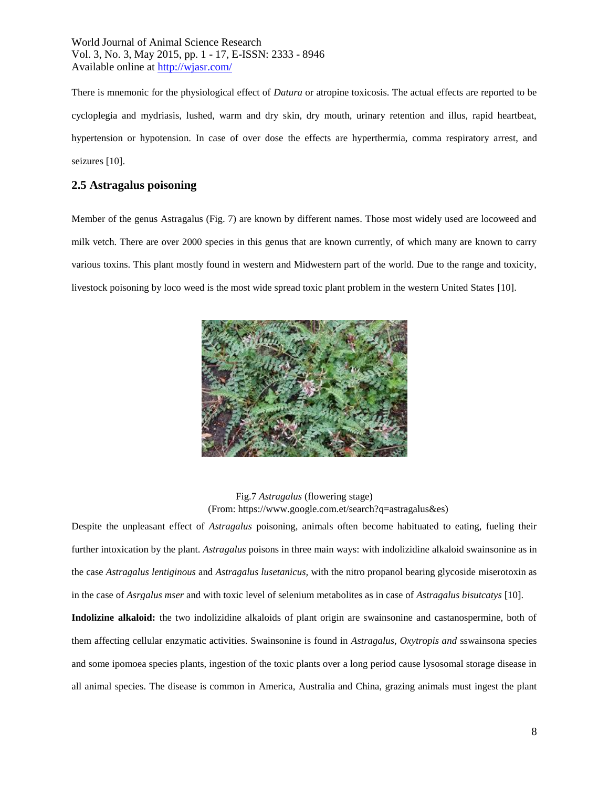There is mnemonic for the physiological effect of *Datura* or atropine toxicosis. The actual effects are reported to be cycloplegia and mydriasis, lushed, warm and dry skin, dry mouth, urinary retention and illus, rapid heartbeat, hypertension or hypotension. In case of over dose the effects are hyperthermia, comma respiratory arrest, and seizures [10].

## **2.5 Astragalus poisoning**

Member of the genus Astragalus (Fig. 7) are known by different names. Those most widely used are locoweed and milk vetch. There are over 2000 species in this genus that are known currently, of which many are known to carry various toxins. This plant mostly found in western and Midwestern part of the world. Due to the range and toxicity, livestock poisoning by loco weed is the most wide spread toxic plant problem in the western United States [10].



Fig.7 *Astragalus* (flowering stage) (From: https://www.google.com.et/search?q=astragalus&es)

Despite the unpleasant effect of *Astragalus* poisoning, animals often become habituated to eating, fueling their further intoxication by the plant. *Astragalus* poisons in three main ways: with indolizidine alkaloid swainsonine as in the case *Astragalus lentiginous* and *Astragalus lusetanicus,* with the nitro propanol bearing glycoside miserotoxin as in the case of *Asrgalus mser* and with toxic level of selenium metabolites as in case of *Astragalus bisutcatys* [10].

**Indolizine alkaloid:** the two indolizidine alkaloids of plant origin are swainsonine and castanospermine, both of them affecting cellular enzymatic activities. Swainsonine is found in *Astragalus, Oxytropis and* sswainsona species and some ipomoea species plants, ingestion of the toxic plants over a long period cause lysosomal storage disease in all animal species. The disease is common in America, Australia and China, grazing animals must ingest the plant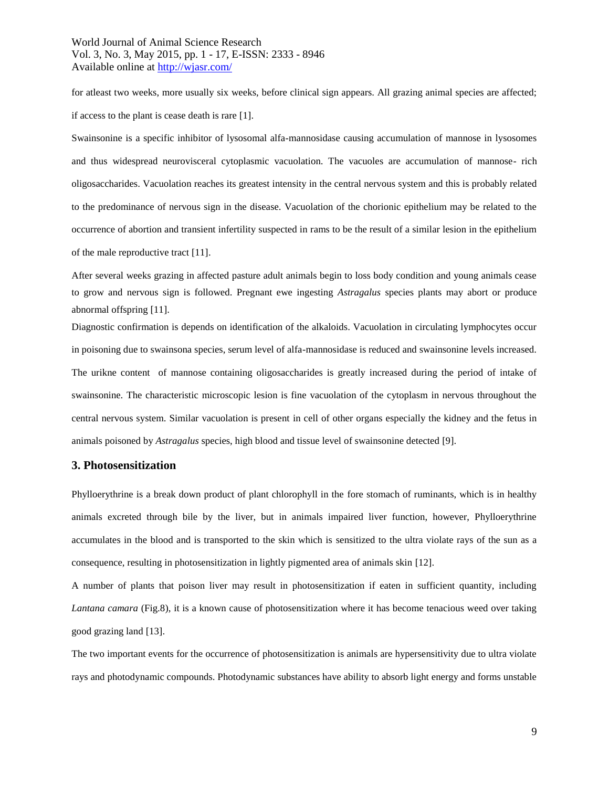for atleast two weeks, more usually six weeks, before clinical sign appears. All grazing animal species are affected; if access to the plant is cease death is rare [1].

Swainsonine is a specific inhibitor of lysosomal alfa-mannosidase causing accumulation of mannose in lysosomes and thus widespread neurovisceral cytoplasmic vacuolation. The vacuoles are accumulation of mannose- rich oligosaccharides. Vacuolation reaches its greatest intensity in the central nervous system and this is probably related to the predominance of nervous sign in the disease. Vacuolation of the chorionic epithelium may be related to the occurrence of abortion and transient infertility suspected in rams to be the result of a similar lesion in the epithelium of the male reproductive tract [11].

After several weeks grazing in affected pasture adult animals begin to loss body condition and young animals cease to grow and nervous sign is followed. Pregnant ewe ingesting *Astragalus* species plants may abort or produce abnormal offspring [11].

Diagnostic confirmation is depends on identification of the alkaloids. Vacuolation in circulating lymphocytes occur in poisoning due to swainsona species, serum level of alfa-mannosidase is reduced and swainsonine levels increased. The urikne content of mannose containing oligosaccharides is greatly increased during the period of intake of swainsonine. The characteristic microscopic lesion is fine vacuolation of the cytoplasm in nervous throughout the central nervous system. Similar vacuolation is present in cell of other organs especially the kidney and the fetus in animals poisoned by *Astragalus* species, high blood and tissue level of swainsonine detected [9].

### **3. Photosensitization**

Phylloerythrine is a break down product of plant chlorophyll in the fore stomach of ruminants, which is in healthy animals excreted through bile by the liver, but in animals impaired liver function, however, Phylloerythrine accumulates in the blood and is transported to the skin which is sensitized to the ultra violate rays of the sun as a consequence, resulting in photosensitization in lightly pigmented area of animals skin [12].

A number of plants that poison liver may result in photosensitization if eaten in sufficient quantity, including *Lantana camara* (Fig.8), it is a known cause of photosensitization where it has become tenacious weed over taking good grazing land [13].

The two important events for the occurrence of photosensitization is animals are hypersensitivity due to ultra violate rays and photodynamic compounds. Photodynamic substances have ability to absorb light energy and forms unstable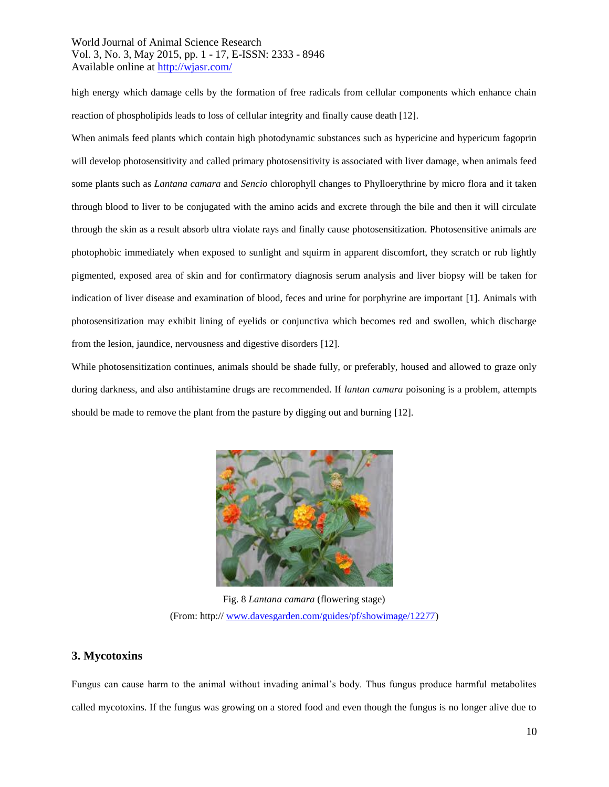high energy which damage cells by the formation of free radicals from cellular components which enhance chain reaction of phospholipids leads to loss of cellular integrity and finally cause death [12].

When animals feed plants which contain high photodynamic substances such as hypericine and hypericum fagoprin will develop photosensitivity and called primary photosensitivity is associated with liver damage, when animals feed some plants such as *Lantana camara* and *Sencio* chlorophyll changes to Phylloerythrine by micro flora and it taken through blood to liver to be conjugated with the amino acids and excrete through the bile and then it will circulate through the skin as a result absorb ultra violate rays and finally cause photosensitization. Photosensitive animals are photophobic immediately when exposed to sunlight and squirm in apparent discomfort, they scratch or rub lightly pigmented, exposed area of skin and for confirmatory diagnosis serum analysis and liver biopsy will be taken for indication of liver disease and examination of blood, feces and urine for porphyrine are important [1]. Animals with photosensitization may exhibit lining of eyelids or conjunctiva which becomes red and swollen, which discharge from the lesion, jaundice, nervousness and digestive disorders [12].

While photosensitization continues, animals should be shade fully, or preferably, housed and allowed to graze only during darkness, and also antihistamine drugs are recommended. If *lantan camara* poisoning is a problem, attempts should be made to remove the plant from the pasture by digging out and burning [12].



Fig. 8 *Lantana camara* (flowering stage) (From: http:/[/ www.davesgarden.com/guides/pf/showimage/12277\)](http://www.davesgarden.com/guides/pf/showimage/12277)

# **3. Mycotoxins**

Fungus can cause harm to the animal without invading animal's body. Thus fungus produce harmful metabolites called mycotoxins. If the fungus was growing on a stored food and even though the fungus is no longer alive due to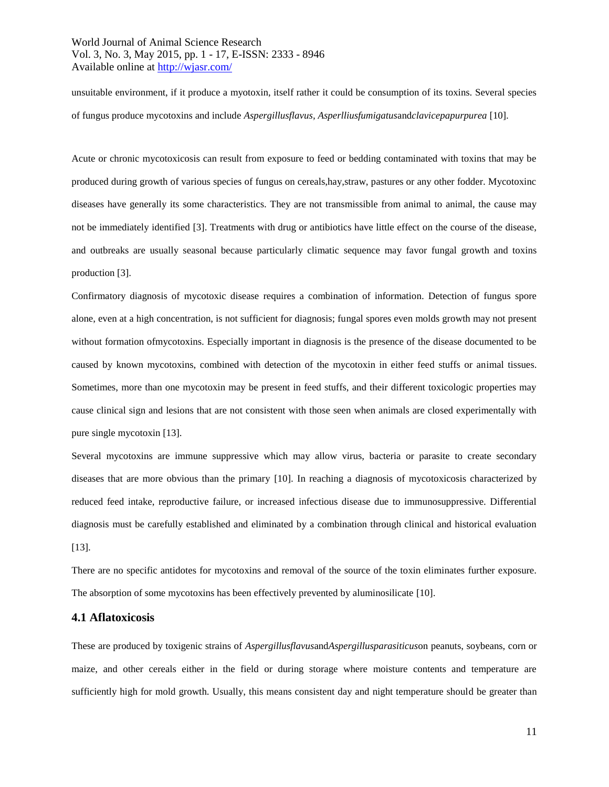unsuitable environment, if it produce a myotoxin, itself rather it could be consumption of its toxins. Several species of fungus produce mycotoxins and include *Aspergillusflavus, Asperlliusfumigatus*and*clavicepapurpurea* [10].

Acute or chronic mycotoxicosis can result from exposure to feed or bedding contaminated with toxins that may be produced during growth of various species of fungus on cereals,hay,straw, pastures or any other fodder. Mycotoxinc diseases have generally its some characteristics. They are not transmissible from animal to animal, the cause may not be immediately identified [3]. Treatments with drug or antibiotics have little effect on the course of the disease, and outbreaks are usually seasonal because particularly climatic sequence may favor fungal growth and toxins production [3].

Confirmatory diagnosis of mycotoxic disease requires a combination of information. Detection of fungus spore alone, even at a high concentration, is not sufficient for diagnosis; fungal spores even molds growth may not present without formation ofmycotoxins. Especially important in diagnosis is the presence of the disease documented to be caused by known mycotoxins, combined with detection of the mycotoxin in either feed stuffs or animal tissues. Sometimes, more than one mycotoxin may be present in feed stuffs, and their different toxicologic properties may cause clinical sign and lesions that are not consistent with those seen when animals are closed experimentally with pure single mycotoxin [13].

Several mycotoxins are immune suppressive which may allow virus, bacteria or parasite to create secondary diseases that are more obvious than the primary [10]. In reaching a diagnosis of mycotoxicosis characterized by reduced feed intake, reproductive failure, or increased infectious disease due to immunosuppressive. Differential diagnosis must be carefully established and eliminated by a combination through clinical and historical evaluation [13].

There are no specific antidotes for mycotoxins and removal of the source of the toxin eliminates further exposure. The absorption of some mycotoxins has been effectively prevented by aluminosilicate [10].

### **4.1 Aflatoxicosis**

These are produced by toxigenic strains of *Aspergillusflavus*and*Aspergillusparasiticus*on peanuts, soybeans, corn or maize, and other cereals either in the field or during storage where moisture contents and temperature are sufficiently high for mold growth. Usually, this means consistent day and night temperature should be greater than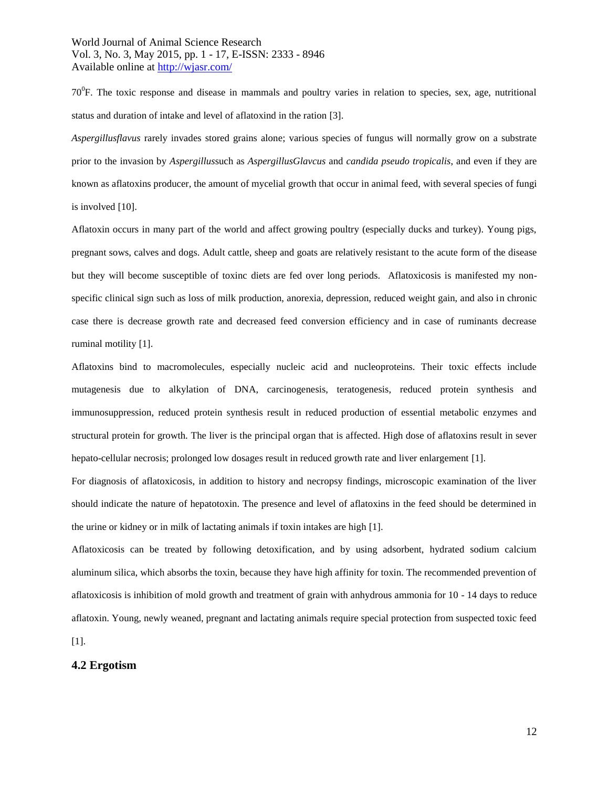$70^0$ F. The toxic response and disease in mammals and poultry varies in relation to species, sex, age, nutritional status and duration of intake and level of aflatoxind in the ration [3].

*Aspergillusflavus* rarely invades stored grains alone; various species of fungus will normally grow on a substrate prior to the invasion by *Aspergillus*such as *AspergillusGlavcus* and *candida pseudo tropicalis*, and even if they are known as aflatoxins producer, the amount of mycelial growth that occur in animal feed, with several species of fungi is involved [10].

Aflatoxin occurs in many part of the world and affect growing poultry (especially ducks and turkey). Young pigs, pregnant sows, calves and dogs. Adult cattle, sheep and goats are relatively resistant to the acute form of the disease but they will become susceptible of toxinc diets are fed over long periods. Aflatoxicosis is manifested my nonspecific clinical sign such as loss of milk production, anorexia, depression, reduced weight gain, and also in chronic case there is decrease growth rate and decreased feed conversion efficiency and in case of ruminants decrease ruminal motility [1].

Aflatoxins bind to macromolecules, especially nucleic acid and nucleoproteins. Their toxic effects include mutagenesis due to alkylation of DNA, carcinogenesis, teratogenesis, reduced protein synthesis and immunosuppression, reduced protein synthesis result in reduced production of essential metabolic enzymes and structural protein for growth. The liver is the principal organ that is affected. High dose of aflatoxins result in sever hepato-cellular necrosis; prolonged low dosages result in reduced growth rate and liver enlargement [1].

For diagnosis of aflatoxicosis, in addition to history and necropsy findings, microscopic examination of the liver should indicate the nature of hepatotoxin. The presence and level of aflatoxins in the feed should be determined in the urine or kidney or in milk of lactating animals if toxin intakes are high [1].

Aflatoxicosis can be treated by following detoxification, and by using adsorbent, hydrated sodium calcium aluminum silica, which absorbs the toxin, because they have high affinity for toxin. The recommended prevention of aflatoxicosis is inhibition of mold growth and treatment of grain with anhydrous ammonia for 10 - 14 days to reduce aflatoxin. Young, newly weaned, pregnant and lactating animals require special protection from suspected toxic feed  $[1]$ .

#### **4.2 Ergotism**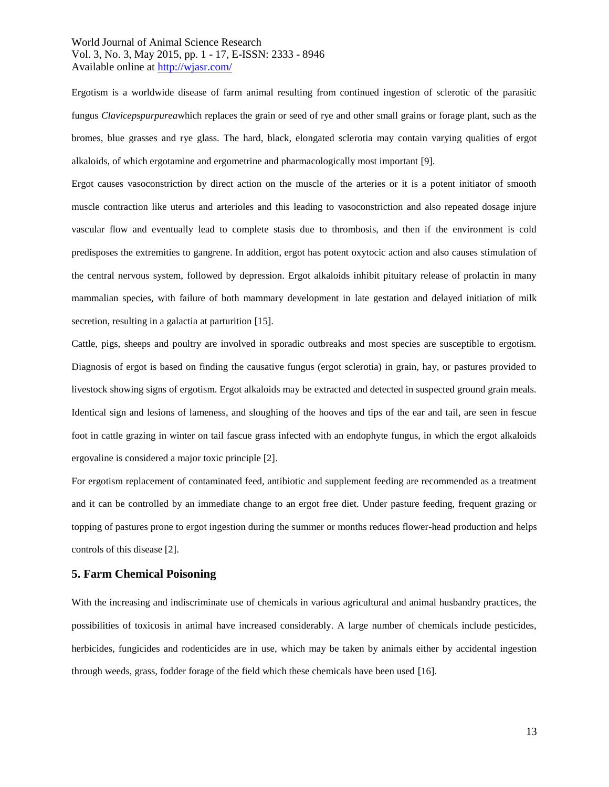Ergotism is a worldwide disease of farm animal resulting from continued ingestion of sclerotic of the parasitic fungus *Clavicepspurpurea*which replaces the grain or seed of rye and other small grains or forage plant, such as the bromes, blue grasses and rye glass. The hard, black, elongated sclerotia may contain varying qualities of ergot alkaloids, of which ergotamine and ergometrine and pharmacologically most important [9].

Ergot causes vasoconstriction by direct action on the muscle of the arteries or it is a potent initiator of smooth muscle contraction like uterus and arterioles and this leading to vasoconstriction and also repeated dosage injure vascular flow and eventually lead to complete stasis due to thrombosis, and then if the environment is cold predisposes the extremities to gangrene. In addition, ergot has potent oxytocic action and also causes stimulation of the central nervous system, followed by depression. Ergot alkaloids inhibit pituitary release of prolactin in many mammalian species, with failure of both mammary development in late gestation and delayed initiation of milk secretion, resulting in a galactia at parturition [15].

Cattle, pigs, sheeps and poultry are involved in sporadic outbreaks and most species are susceptible to ergotism. Diagnosis of ergot is based on finding the causative fungus (ergot sclerotia) in grain, hay, or pastures provided to livestock showing signs of ergotism. Ergot alkaloids may be extracted and detected in suspected ground grain meals. Identical sign and lesions of lameness, and sloughing of the hooves and tips of the ear and tail, are seen in fescue foot in cattle grazing in winter on tail fascue grass infected with an endophyte fungus, in which the ergot alkaloids ergovaline is considered a major toxic principle [2].

For ergotism replacement of contaminated feed, antibiotic and supplement feeding are recommended as a treatment and it can be controlled by an immediate change to an ergot free diet. Under pasture feeding, frequent grazing or topping of pastures prone to ergot ingestion during the summer or months reduces flower-head production and helps controls of this disease [2].

### **5. Farm Chemical Poisoning**

With the increasing and indiscriminate use of chemicals in various agricultural and animal husbandry practices, the possibilities of toxicosis in animal have increased considerably. A large number of chemicals include pesticides, herbicides, fungicides and rodenticides are in use, which may be taken by animals either by accidental ingestion through weeds, grass, fodder forage of the field which these chemicals have been used [16].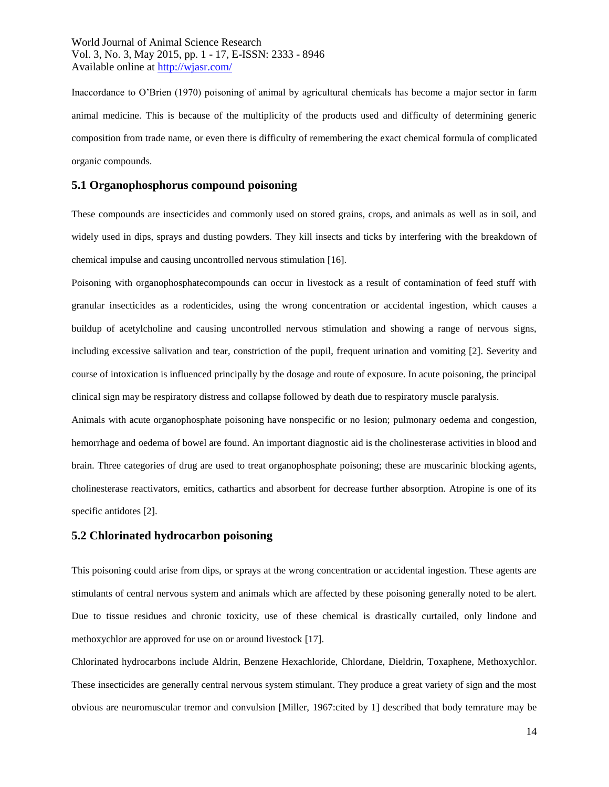Inaccordance to O'Brien (1970) poisoning of animal by agricultural chemicals has become a major sector in farm animal medicine. This is because of the multiplicity of the products used and difficulty of determining generic composition from trade name, or even there is difficulty of remembering the exact chemical formula of complicated organic compounds.

### **5.1 Organophosphorus compound poisoning**

These compounds are insecticides and commonly used on stored grains, crops, and animals as well as in soil, and widely used in dips, sprays and dusting powders. They kill insects and ticks by interfering with the breakdown of chemical impulse and causing uncontrolled nervous stimulation [16].

Poisoning with organophosphatecompounds can occur in livestock as a result of contamination of feed stuff with granular insecticides as a rodenticides, using the wrong concentration or accidental ingestion, which causes a buildup of acetylcholine and causing uncontrolled nervous stimulation and showing a range of nervous signs, including excessive salivation and tear, constriction of the pupil, frequent urination and vomiting [2]. Severity and course of intoxication is influenced principally by the dosage and route of exposure. In acute poisoning, the principal clinical sign may be respiratory distress and collapse followed by death due to respiratory muscle paralysis.

Animals with acute organophosphate poisoning have nonspecific or no lesion; pulmonary oedema and congestion, hemorrhage and oedema of bowel are found. An important diagnostic aid is the cholinesterase activities in blood and brain. Three categories of drug are used to treat organophosphate poisoning; these are muscarinic blocking agents, cholinesterase reactivators, emitics, cathartics and absorbent for decrease further absorption. Atropine is one of its specific antidotes [2].

### **5.2 Chlorinated hydrocarbon poisoning**

This poisoning could arise from dips, or sprays at the wrong concentration or accidental ingestion. These agents are stimulants of central nervous system and animals which are affected by these poisoning generally noted to be alert. Due to tissue residues and chronic toxicity, use of these chemical is drastically curtailed, only lindone and methoxychlor are approved for use on or around livestock [17].

Chlorinated hydrocarbons include Aldrin, Benzene Hexachloride, Chlordane, Dieldrin, Toxaphene, Methoxychlor. These insecticides are generally central nervous system stimulant. They produce a great variety of sign and the most obvious are neuromuscular tremor and convulsion [Miller, 1967:cited by 1] described that body temrature may be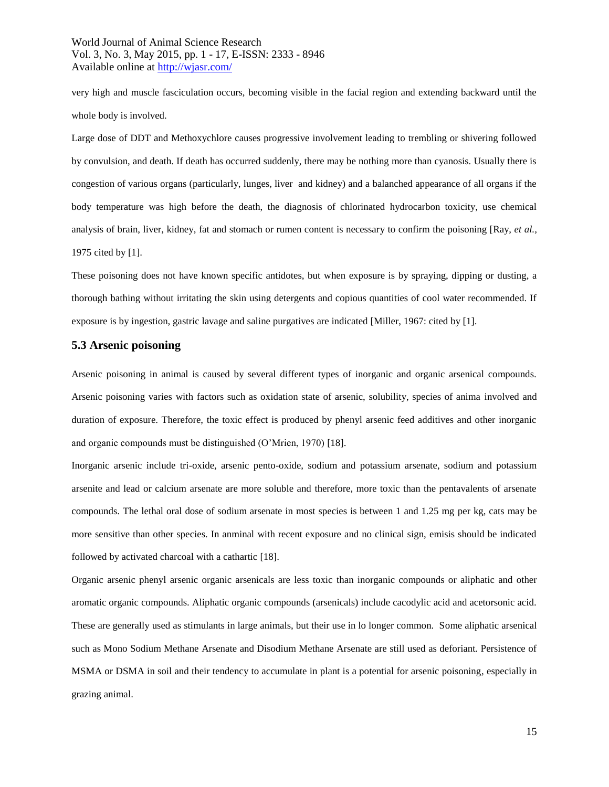very high and muscle fasciculation occurs, becoming visible in the facial region and extending backward until the whole body is involved.

Large dose of DDT and Methoxychlore causes progressive involvement leading to trembling or shivering followed by convulsion, and death. If death has occurred suddenly, there may be nothing more than cyanosis. Usually there is congestion of various organs (particularly, lunges, liver and kidney) and a balanched appearance of all organs if the body temperature was high before the death, the diagnosis of chlorinated hydrocarbon toxicity, use chemical analysis of brain, liver, kidney, fat and stomach or rumen content is necessary to confirm the poisoning [Ray, *et al.,* 1975 cited by [1].

These poisoning does not have known specific antidotes, but when exposure is by spraying, dipping or dusting, a thorough bathing without irritating the skin using detergents and copious quantities of cool water recommended. If exposure is by ingestion, gastric lavage and saline purgatives are indicated [Miller, 1967: cited by [1].

### **5.3 Arsenic poisoning**

Arsenic poisoning in animal is caused by several different types of inorganic and organic arsenical compounds. Arsenic poisoning varies with factors such as oxidation state of arsenic, solubility, species of anima involved and duration of exposure. Therefore, the toxic effect is produced by phenyl arsenic feed additives and other inorganic and organic compounds must be distinguished (O'Mrien, 1970) [18].

Inorganic arsenic include tri-oxide, arsenic pento-oxide, sodium and potassium arsenate, sodium and potassium arsenite and lead or calcium arsenate are more soluble and therefore, more toxic than the pentavalents of arsenate compounds. The lethal oral dose of sodium arsenate in most species is between 1 and 1.25 mg per kg, cats may be more sensitive than other species. In anminal with recent exposure and no clinical sign, emisis should be indicated followed by activated charcoal with a cathartic [18].

Organic arsenic phenyl arsenic organic arsenicals are less toxic than inorganic compounds or aliphatic and other aromatic organic compounds. Aliphatic organic compounds (arsenicals) include cacodylic acid and acetorsonic acid. These are generally used as stimulants in large animals, but their use in lo longer common. Some aliphatic arsenical such as Mono Sodium Methane Arsenate and Disodium Methane Arsenate are still used as deforiant. Persistence of MSMA or DSMA in soil and their tendency to accumulate in plant is a potential for arsenic poisoning, especially in grazing animal.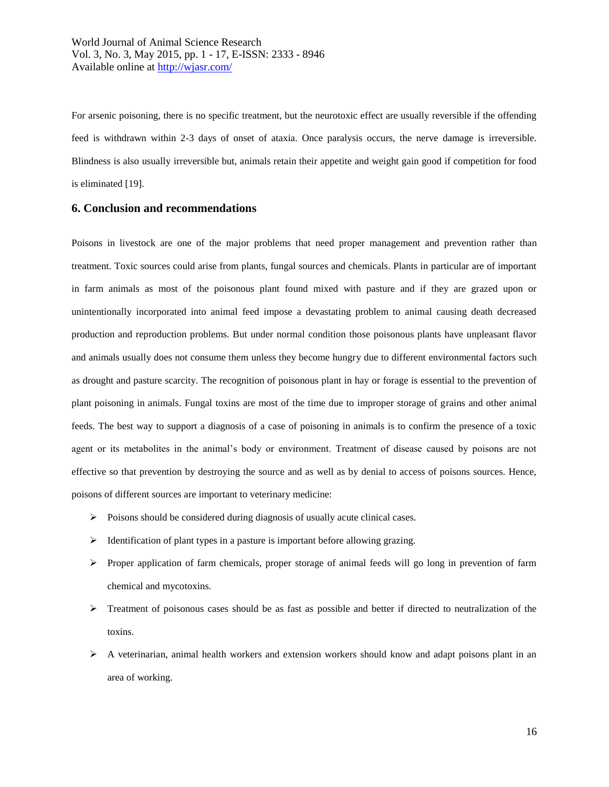For arsenic poisoning, there is no specific treatment, but the neurotoxic effect are usually reversible if the offending feed is withdrawn within 2-3 days of onset of ataxia. Once paralysis occurs, the nerve damage is irreversible. Blindness is also usually irreversible but, animals retain their appetite and weight gain good if competition for food is eliminated [19].

### **6. Conclusion and recommendations**

Poisons in livestock are one of the major problems that need proper management and prevention rather than treatment. Toxic sources could arise from plants, fungal sources and chemicals. Plants in particular are of important in farm animals as most of the poisonous plant found mixed with pasture and if they are grazed upon or unintentionally incorporated into animal feed impose a devastating problem to animal causing death decreased production and reproduction problems. But under normal condition those poisonous plants have unpleasant flavor and animals usually does not consume them unless they become hungry due to different environmental factors such as drought and pasture scarcity. The recognition of poisonous plant in hay or forage is essential to the prevention of plant poisoning in animals. Fungal toxins are most of the time due to improper storage of grains and other animal feeds. The best way to support a diagnosis of a case of poisoning in animals is to confirm the presence of a toxic agent or its metabolites in the animal's body or environment. Treatment of disease caused by poisons are not effective so that prevention by destroying the source and as well as by denial to access of poisons sources. Hence, poisons of different sources are important to veterinary medicine:

- $\triangleright$  Poisons should be considered during diagnosis of usually acute clinical cases.
- $\triangleright$  Identification of plant types in a pasture is important before allowing grazing.
- $\triangleright$  Proper application of farm chemicals, proper storage of animal feeds will go long in prevention of farm chemical and mycotoxins.
- $\triangleright$  Treatment of poisonous cases should be as fast as possible and better if directed to neutralization of the toxins.
- A veterinarian, animal health workers and extension workers should know and adapt poisons plant in an area of working.